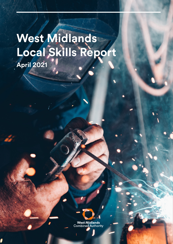# **West Midlands Local Skills Report April 2021**

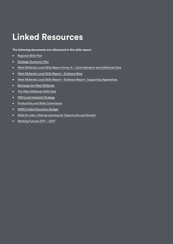## **Linked Resources**

**The following documents are referenced in this skills report:**

- [Regional Skills Plan](https://www.wmca.org.uk/media/2252/regional-skills-plan.pdf)
- [Strategic Economic Plan](https://www.wmca.org.uk/what-we-do/strategy/)
- [West Midlands Local Skills Report Annex A Core Indicators and Additional Data](https://www.wmca.org.uk/media/4824/wm-local-skills-report_annex-a.pdf)
- [West Midlands Local Skills Report Evidence Base](https://www.wmca.org.uk/media/4815/wm-local-skills-report_evidence-base.pdf)
- [West Midlands Local Skills Report Evidence R](https://www.wmca.org.uk/media/4816/wm-local-skills-report_evidence-report-appendices.pdf)eport Supporting Appendices
- [Recharge the West Midlands](https://assets.publishing.service.gov.uk/media/600e975b8fa8f5654fcfed3f/West_Midlands_Economic_Recovery.pdf)
- [The West Midlands Skills Deal](https://www.wmca.org.uk/media/2344/west-midlands-skills-agreement.pdf)
- [WM Local Industrial Strategy](https://www.wmca.org.uk/what-we-do/industrial-strategy/)
- [Productivity and Skills Commission](https://www.wmca.org.uk/what-we-do/productivity-skills-commission/)
- [WMCA Adult Education Budget](https://www.wmca.org.uk/what-we-do/productivity-skills/adult-education-budget/)
- [Skills for Jobs: Lifelong Learning for Opportunity and Growth](https://assets.publishing.service.gov.uk/government/uploads/system/uploads/attachment_data/file/957856/Skills_for_jobs_lifelong_learning_for_opportunity_and_growth__web_version_.pdf)
- [Working Futures 2017 2027](https://assets.publishing.service.gov.uk/government/uploads/system/uploads/attachment_data/file/863506/Working_Futures_Main_Report.pdf)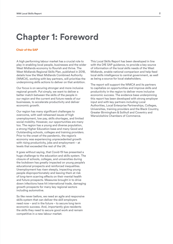## **Chapter 1: Foreword**

#### **Chair of the SAP**

A high performing labour market has a crucial role to play in enabling local people, businesses and the wider West Midlands economy to flourish and thrive. The West Midlands Regional Skills Plan, published in 2018, details how the West Midlands Combined Authority (WMCA), working with key partners, will prioritise the underpinning skills actions to deliver on that ambition.

Our focus is on securing stronger and more inclusive regional growth. Put simply, we want to deliver a better match between the skills of the people in our region and the current and future needs of our businesses, to accelerate productivity and deliver economic growth.

Our region has many significant challenges to overcome, with well-rehearsed issues of high unemployment, low pay, skills shortages, and limited social mobility. However, our opportunities are many too. The region has a young and diverse population, a strong Higher Education base and many Good and Outstanding schools, colleges and training providers. Prior to the onset of the pandemic, the region's economy was experiencing unprecedented growth with rising productivity, jobs and employment – at levels that exceeded the rest of the UK.

It goes without saying, that Covid-19 has presented a huge challenge to the education and skills system. The closure of schools, colleges, and universities during the lockdown has greatly impacted on young people's educational prospects and reinforced inequalities. Unemployment has risen steeply, impacting young people disproportionately and leaving them at risk of long-term scarring effects on their mental health and future prospects. Measures brought in to drive down infections have hit international trade, damaging growth prospects for many key regional sectors including automotive.

So like never before, we need an agile and responsive skills system that can deliver the skill employers need now – and in the future – to secure long term economic success. And, importantly give residents the skills they need to secure good work and remain competitive in a new labour market.

This Local Skills Report has been developed in line with the DfE SAP guidance, to provide a key source of information of the local skills needs of the West Midlands, enable national comparison and help feed local skills intelligence to central government, as well as being a source for local stakeholders.

The report will support the WMCA and its partners to capitalize on opportunities and improve skills and productivity in the region to deliver more inclusive economic success. The evidence base underpinning this report has been developed with strong employer input and with key partners including Local Authorities, Local Enterprise Partnerships, Colleges, Universities, training providers and the Black Country, Greater Birmingham & Solihull and Coventry and Warwickshire Chambers of Commerce.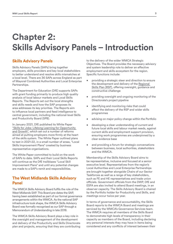## **Chapter 2: Skills Advisory Panels – Introduction**

## **Skills Advisory Panels**

Skills Advisory Panels (SAPs) bring together employers, skills providers and key local stakeholders to better understand and resolve skills mismatches at a local level. There are 36 SAPs across England as part of Mayoral Combined Authorities and Local Enterprise Partnerships.

The Department for Education (DfE) supports SAPs with grant funding primarily to produce high quality analysis of local labour markets and Local Skills Reports. The Reports set out the local strengths and skills needs and how the SAP proposes its area addresses its key priorities. The Reports aim to influence local partners and feed intelligence to central government, including the national-level Skills and Productivity Board (SPB).

In January 2021, DfE published its White Paper ["Skills for Jobs: Lifelong Learning for Opportunity](https://assets.publishing.service.gov.uk/government/uploads/system/uploads/attachment_data/file/957856/Skills_for_jobs_lifelong_learning_for_opportunity_and_growth__web_version_.pdf)  [and Growth"](https://assets.publishing.service.gov.uk/government/uploads/system/uploads/attachment_data/file/957856/Skills_for_jobs_lifelong_learning_for_opportunity_and_growth__web_version_.pdf), which set out a number of reforms aimed at putting employers more firmly at the heart of the skills system. The White Paper outlined plans to test in 2021-22, in a small number of areas, "Local Skills Improvement Plans" created by business representative organisations.

The White Paper committed to build on the work of SAPs to date. SAPs and their Local Skills Reports will continue as the DfE trailblazes "Local Skill Improvement Plans" and until any potential changes are made to a SAP's remit and responsibilities.

## **The West Midlands Skills Advisory Panel**

The WMCA Skills Advisory Board fulfils the role of the West Midlands SAP. This Board pre-dates the SAP, having been established as part of our formal governance arrangements within the WMCA. As the national SAP infrastructure took shape, the WMCA Skills Advisory Board was formally recognised as our SAP through a Memorandum of Understanding in late 2018.

The WMCA Skills Advisory Board plays a key role in the oversight and management of the development and delivery of the Productivity and Skills Directorate plan and projects, ensuring that they are contributing to the delivery of the wider WMCA Strategic Objectives. The Board provides the necessary advisory and system leadership role to deliver an effective employment and skills ecosystem for the region. Specific functions include:

- providing a strategic steer and direction to ensure the development and delivery of the [Regional](https://www.wmca.org.uk/media/2252/regional-skills-plan.pdf)  [Skills Plan \(RSP\),](https://www.wmca.org.uk/media/2252/regional-skills-plan.pdf) offering oversight, guidance and constructive challenge
- providing oversight and ongoing monitoring of the Directorate's project pipeline
- identifying and monitoring risks that could affect the delivery of the RSP and wider skills programmes
- advising on major policy change within the Portfolio
- developing a clear understanding of current and future local skills and labour market needs, against current skills and employment support provision, ensuring work programmes are underpinned by a clear evidence base
- and providing a forum for strategic conversations between business, local authorities, stakeholders and the WMCA.

Membership of the Skills Advisory Board aims to be representative, inclusive and focused at a senior executive level. Representatives from the region's Local Authorities and Local Enterprise Partnerships are brought together alongside Chairs of our Sector Taskforces as well as a range of key stakeholders, such as FE and HE representatives and trade union officials. Government officials from the DWP, DfE and ESFA are also invited to attend Board meetings, in an observer capacity. The Skills Advisory Board is chaired by the Portfolio holder for Productivity and Skills, and meetings occur twice per year.

In terms of governance and accountability, the Skills Board reports to the WMCA Board and meetings are serviced by the WMCA's Governance Services team. The WMCA requires all members of the Skills Board to demonstrate high levels of transparency in their capacity as members of the Board, including declaring any personal interests they may have in items being considered and any conflicts of interest between their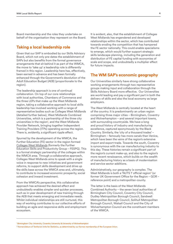<span id="page-4-0"></span>Board membership and the roles they undertake on behalf of the organisation they represent on the Board.

## **Taking a local leadership role**

Given that our SAP is embodied by our Skills Advisory Board, which not only pre-dates the establishment of SAPs but also benefits from the formal governance arrangements that sit behind it as part of the WMCA, the move to 'take up' a leadership role is differently framed in this region. Leadership here has, effectively, been earned in advance and has been formally enhanced through the Government's devolution of the Adult Education Budget (AEB) (proportionate to the region).

The leadership approach is one of continual collaboration. On top of our core relationships with local authorities, Chambers of Commerce and the three LEPs that make up the West Midlands region, taking a collaborative approach to local skills leadership has involved working with a range of representative bodies such as Colleges West Midlands (detailed further below), West Midlands Combined Universities, which is a partnership of the three city universities in the region<sup>1</sup>, and the West Midlands Provider Network, bringing together Independent Training Providers (ITPs) operating across the region. There is, evidently, a significant ripple effect.

Spurred by the development of the WMCA, the Further Education (FE) sector in the region formed [Colleges West Midlands](https://www.collegeswestmidlands.org.uk/) (formerly the Further Education Skills and Productivity Group – FESPG). This is a formal strategic partnership of the colleges within the WMCA area. Through a collaborative approach, Colleges West Midlands aims to speak with a single voice in response to new initiatives and government reforms, to support skills development and drive up the skills base across the WMCA area and, ultimately, to contribute to increased economic prosperity, social cohesion and inward investment.

From the WMCA's perspective, this collaborative approach has achieved the desired effect and undoubtedly enables simpler and quicker processes, such as in-year development of new training through the AEB that meets emerging and immediate needs. Whilst individual relationships are still nurtured, this way of working contributes to our collective efforts of building an agile and responsive skills and employment ecosystem.

It is evident, also, that the establishment of Colleges West Midlands has engendered and developed relationships within the sector, which has contributed towards eroding the competition that has hampered the FE sector nationally. This could enable specialisms to emerge, which would further support strategic skills landscape planning, including the generation and distribution of FE capital funding with economies of scale and scope, and undoubtedly a multiplier effect for future impacts.

## **The WM SAP's economic geography**

Our Universities similarly have strong collaborative working arrangements through two representative groups making input and collaboration through the Skills Advisory Board more effective. Our Universities are world leading and pay a significant part in both the delivery of skills and also the local economy as large employers.

The West Midlands is centrally located at the heart of the country. It is predominantly an urban region comprising three major cities – Birmingham, Coventry and Wolverhampton – and several important towns, with surrounding countryside. We have a long and proud history of industry and manufacturing excellence, captured eponymously by the Black Country. Similarly, the 'city of a thousand trades' – Birmingham – famously has more canals than Venice, which have been the veins of the region's extensive import and export trade. Towards the south, Coventry is synonymous with the car manufacturing industry to this day. These histories remain a significant part of the region's current make-up, and also to the region's more recent renaissance, which builds on the wealth of manufacturing history as a basis of modernisation and service sector additions.

Administratively, our geography is complex. The West Midlands is both a 'NUTS 1' official region<sup>2</sup> (or former UK Government Office for the Region – GOR – reference point) and a metropolitan county.

The latter is the basis of the West Midlands Combined Authority – the seven local authorities of Birmingham City Council, Coventry City Council, Dudley Metropolitan Borough Council, Sandwell Metropolitan Borough Council, Solihull Metropolitan Borough Council, Walsall Council and the City of Wolverhampton Council are the constituent members of the WMCA.

<sup>1</sup> Birmingham City University, Coventry University & University of Wolverhampton

<sup>&</sup>lt;sup>2</sup> Nomenclature of Territorial Units for Statistics, as determined by our former membership of the European Union.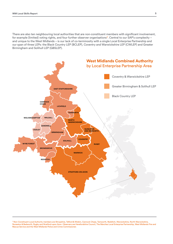There are also ten neighbouring local authorities that are non-constituent members with significant involvement, for example (limited) voting rights, and four further observer organisations<sup>3</sup>. Central to our SAP's complexity and unique to the West Midlands – is our lack of co-terminosity with a single Local Enterprise Partnership and our span of three LEPs: the Black Country LEP (BCLEP), Coventry and Warwickshire LEP (CWLEP) and Greater Birmingham and Solihull LEP (GBSLEP).



3 Non-Constituent Local Authority members are Shropshire, Telford & Wrekin, Cannock Chase, Tamworth, Redditch, Warwickshire, North Warwickshire, Nuneaton & Bedworth, Rugby and Stratford-upon Avon. Observers are Herefordshire Council, The Marches Local Enterprise Partnership, West Midlands Fire and Rescue Service and the West Midlands Police and Crime Commissioner.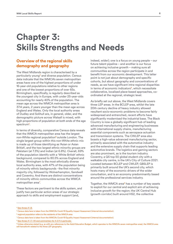## <span id="page-6-0"></span>**Chapter 3: Skills Strengths and Needs**

## **Overview of the regional skills demography and geography**

The West Midlands region is characterised by a particularly young<sup>4</sup> and diverse population. Census data indicate that the WMCA's seven metropolitan areas have one of the highest proportions of under 16-year-old populations relative to other regions and one of the lowest proportions of over 65s. Birmingham, specifically, is regularly described as the youngest city in Europe, with under 25-year-olds accounting for nearly 40% of the population. The mean age across the WMCA metropolitan area is 37.4 years, 2 years younger than the mean age across England and Wales. Only the local authority areas of Dudley and Solihull are, in general, older, and the demographic picture across Walsall is mixed, with high proportions of population at both ends of the age spectrum<sup>5</sup>.

In terms of diversity, comparative Census data reveals that the WMCA metropolitan area has the largest non-White regional population<sup>6</sup> outside London. The single largest group within this non-White ethnic mix is made up of those identifying as 'Asian or Asian British', and the two largest ethnic minority groups are Pakistani (at 7.3%) and Indian (at 6.8%). Overall, 69% of the population identify with a 'White British' ethnic background, compared to 80.5% across England and Wales. Birmingham is the most ethnically diverse local authority area, with 47% of the population being of minority ethnic backgrounds - the first minority majority city, followed by Wolverhampton, Sandwell and Coventry. And there are distinct concentrations of minority ethnic communities across the WMCA metropolitan area<sup>7</sup>.

These factors are pertinent to the skills system, and justify two particular action areas of our strategic approach to skills and employment support (and,

indeed, wider); one is a focus on young people – our future talent pipeline – and another is our focus on achieving inclusive growth – making sure all communities across the region participate in and benefit from our economic development. This latter point is not just about demography and specific cohorts, but about geography and concentrations of needs, as we have significant intra-regional disparities in terms of economic indicators $8$ , which necessitate collaborative, localised place-based approaches, coordinated at the regional, strategic level.

As briefly set out above, the West Midlands covers three LEP areas. In the BCLEP area, whilst the late 20th century decline of heavy industry allowed resultant socio-economic problems to become fairly widespread and entrenched, recent efforts have significantly modernised the industrial base. The Black Country is now a globally significant hub of leading advanced manufacturing and engineering businesses with international supply chains, manufacturing essential components such as aerospace actuation and transmission systems. The CWLEP area also boasts a high-value advanced manufacturing sector, primarily associated with the automotive industry and the extensive supply chain that supports leading automotive brands. The logistics and gaming sectors are also prominent, as is the tourism industry. Coventry, a QS top 50 global student city with a walkable city centre, is the UK's City of Culture 2021. Located between BCLEP and CWLEP, GBSLEP is primarily built around the UK's second city, which hosts many of the economic drivers of the wider conurbation, and is an economy predominantly based around the professional services industry.

Together, the WMCA area<sup>9</sup> has a number of key assets to exploit for our central and explicit aim of achieving inclusive growth for the region; the UK Central Hub (growth corridor) built around HS2, the collective

- $^7$  Census data here is taken from the WMCA's Covid-19 Equality Impact Assessment (internal documentation).
- <sup>8</sup> See Annex A 1.7, 1.10 and commentary for A 2.11 in particular.

<sup>4</sup> [See Annex A 1.8.](https://www.wmca.org.uk/media/4824/wm-local-skills-report_annex-a.pdf)

<sup>&</sup>lt;sup>5</sup> Census data here is taken from the WMCA's Covid-19 Equality Impact Assessment (internal documentation).

<sup>6</sup> regional population refers to the residents of the WMCA area

<sup>&</sup>lt;sup>9</sup> Unless otherwise stated (e.g. as with any references to the Adult Education Budget, which operates to the WMCA's seven metropolitan area), the WMCA area will henceforth related to the three LEP geography.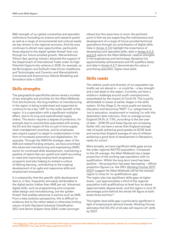<span id="page-7-0"></span>R&D strength of our global universities and specialist institutions (including six science and research parks) as well as a range of environmental and cultural assets are key drivers in the regional economy. And the area continues to attract new opportunities, particularly those aligned to the digital 'golden thread' that runs through our future-proofed growth. Warwickshire's 'Silicon Spa' gaming industry attracted the support of the Department of International Trade under its High Potential Opportunity scheme in 2018, for example, as did Birmingham and Solihull's Data Driven Healthcare and Technologies and Coventry and Warwickshire's Connected and Autonomous Vehicle Modelling and Simulation bids in 2020.

## **Skills strengths**

The geographical specificities above reveal a number of key strengths and priorities for the West Midlands. First and foremost, the long tradition of manufacturing in the region is being modernised and supported to continue to be a key 'USP' for the wider benefit of the region. It is a specialism with a significant multiplier effect, due to its long and sophisticated supply chains. The sector requires a degree of protection, for example due to uncertainties associated with exiting the EU and the impact of this on just-in-time supply chain management practices, and its employees also require support to adapt to modernisation in the form of increased automation and digitalisation, for example. Through the WMCA's strategic steer of the AEB and related funding streams, we have prioritised this advanced manufacturing and engineering (AME) sector for continued skills development, maintaining a pipeline of talent that can upskill and reskill according to need and improving employment progression prospects (and also helping to embed a culture of lifelong learning, contributing to the ongoing development of an agile and responsive skills and employment ecosystem).

It is noteworthy that the specific skills development here is, in fact, frequently and easily attributable to the digital sector (rather than AME per se). Advanced digital skills, such as programming and computeraided design and manufacturing, are the 'golden thread' that enables advances in sectors such as AME. From a data analytics perspective, this is difficult to evidence due to the rather dated or otherwise limiting nature of both Standard Industrial Classification (SIC) and Sector Subject Area (SSA) codes (amongst

others) but this issue here is moot; the pertinent point is that we are supporting the maintenance and development of a range of future-proofed technical specialisms through our prioritisation of digital skills. Data in [Annex A 3.4](https://www.wmca.org.uk/media/4824/wm-local-skills-report_annex-a.pdf) highlight the importance of developing such specialist skills; data in [Annex A 2.3](https://www.wmca.org.uk/media/4824/wm-local-skills-report_annex-a.pdf)  [and 2.4](https://www.wmca.org.uk/media/4824/wm-local-skills-report_annex-a.pdf) capture the West Midlands' relative strengths in the engineering and technology discipline (via apprenticeship achievements and HE qualifiers data); and data in [Annex A 2.7](https://www.wmca.org.uk/media/4824/wm-local-skills-report_annex-a.pdf) demonstrate the value in prioritising specialist, higher-level skills.

## **Skills needs**

The relative youth and diversity of our population (as briefly set out above) is – or could be – a key strength and a real asset to the region. Currently, we have a stubborn challenge around youth unemployment, exacerbated by the impact of Covid-19. This is partly attributable to issues at earlier stages in the skills system. At Key Stage 5, far more pupils are leaving education and becoming 'NEET' (i.e. categorised as 'not in education, employment or training') or with this destination data unknown, than on average across England (14.1% cf. 7.9%, according to the last year of data – 2018/19) and these figures are increasing. Earlier still, we have a worse than England average rate of pupils achieving good grades at GCSE level and worse than England average of rate of children achieving a good level of development in Reception, ready for school.

More broadly, we have significant skills gaps across the wider regional (NUTS1) population. Compared to the UK average, the West Midlands has a larger proportion of the working age population with no qualification. Whilst the long-term trend has been positive – the proportion has been decreasing – official projection figures (i.e. the DfE's [Working Futures 2017-](https://assets.publishing.service.gov.uk/government/uploads/system/uploads/attachment_data/file/863506/Working_Futures_Main_Report.pdf) [2027](https://assets.publishing.service.gov.uk/government/uploads/system/uploads/attachment_data/file/863506/Working_Futures_Main_Report.pdf)) suggest the West Midlands will be the slowest region to close its 'no qualifications' gap. The region also has significant skills gaps at higher levels – just approximately a third of the regional population hold qualifications at level four an above (approximately degree level), and the region is circa 10 percentage point behind the whole-UK figure at both levels three and four<sup>10</sup>.

This higher-level skills gap is particularly significant in light of employment demand trends; Working Futures estimates that (55.2%) of all jobs will require L4+ skills by 2027.

<sup>&</sup>lt;sup>10</sup> See [Annex A 2.1,](https://www.wmca.org.uk/media/4824/wm-local-skills-report_annex-a.pdf) although note that the standard SAP analysis compares the West Midlands with all-England data, whereas this commentary highlights the starker difference of the wider NUTS1 region against the whole UK.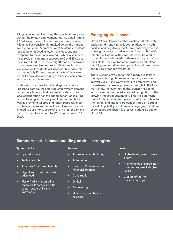A logical follow-on to closing the qualifications gap is closing the related employment gap. As data in [Annex](https://www.wmca.org.uk/media/4824/wm-local-skills-report_annex-a.pdf)  [A 1.5](https://www.wmca.org.uk/media/4824/wm-local-skills-report_annex-a.pdf) display, the employment rate across the West Midlands has consistently tracked below the national average for years. Moreover, West Midlands residents tend to be employed in lower-level occupations compared to the national average, which also means these residents are more exposed to Covid-19 risk as these roles tend to be less straightforward to convert to home-working ([see Annex A 1.2](https://www.wmca.org.uk/media/4824/wm-local-skills-report_annex-a.pdf)). Improving the skills profile of residents will necessarily reduce this gap, especially if the component parts of the system (i.e. skills providers and hiring businesses) can learn to work as a cohesive whole.

To this end, the role of local intelligence is critical. Published data sources plotting employment demand can suffer a time lag that renders it useless, while local collaboration has the added benefit of securing mutual training and employment commitments as well as providing tailored and timely responsiveness to intelligence. As set out in [Annex A section 3](https://www.wmca.org.uk/media/4824/wm-local-skills-report_annex-a.pdf), skills aligned to our priority sectors<sup>11</sup> are in greater demand than in the sectors set out by Working Futures 2017- 2027.

### **Emerging skills needs**

Covid-19 has also accelerated existing but relatively background trends in the labour market, with both positive and negative impacts. Net positively, there is a strong recovery narrative around 'green jobs'; whilst this shift will come with some job losses (related to carbon intensive industries), there is an opportunity to tailor skills provision to 'sector switches' and related reskilling and upskilling to support in-work progression and future-proof our workforce.

There is some provision for this already available in the region through time-limited funding – such as 'retrofit' skills – and we will work to both mirror and mainstream successful provision through AEB. More worryingly, the overnight digital transformation of work for some has forced a related recognition of the growing impact of automation. This is a significant threat to the manufacturing sector, which is critical to the region, and impacts are concentrated on certain cohorts (e.g. 50+ year-old men, an age group that has experienced significant job losses, nationally, due to Covid-19).

## **Summary – skills needs building on skills strengths**

#### **Types of skills**

- Specialist skills
- **Technical skills**
- Adaptive / transferable skills
- Digital skills from basic to advanced
- 'Fusion' skills integrating digital skills across specific sector-based skills and knowledge

#### **Sectors**

- Advanced manufacturing
- **Automotive**
- Business, Professional and Financial Services
- **Construction**
- Digital
- Engineering
- Health care and health sciences

#### **Levels**

- Higher-level (Level 3+) as a priority
- Maintenance of a pipeline in order to progress to higher levels
- Closure of the 'no qualifications' gap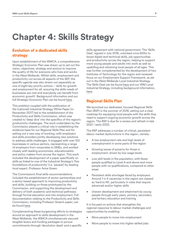## <span id="page-9-0"></span>**Chapter 4: Skills Strategy**

## **Evolution of a dedicated skills strategy**

Upon establishment of the WMCA, a comprehensive Strategic Economic Plan was drawn up to set out the vision, objectives, strategy and actions to improve the quality of life for everyone who lives and works in the West Midlands. Whilst skills, employment and productivity cut across all aspects of the SEP, this specific agenda was also drawn out separately as one of eight key priority actions – 'skills for growth and employment for all: ensuring the skills needs of businesses are met and everybody can benefit from economic growth'. Background information and our full Strategic Economic Plan can be found [here](https://www.wmca.org.uk/what-we-do/strategy/).

This ambition coupled with the publication of the (national) Industrial Strategy White Paper (in November 2017) led to the establishment of the Productivity and Skills Commission, which was created to 'deep dive' into the specifics of the region's productivity challenges. The work undertaken by the Commission played a critical role in establishing the evidence base for our Regional Skills Plan and for setting out a new way of working, with employers and skills providers jointly developing new solutions to address skills challenges. It engaged with over 120 businesses in various sectors, representing a range of employers from corporates to SMEs, and worked closely with leading economists, educationalists and policy makers from across the region. This work included the development of a paper specifically on skills as linked to one of the Industrial Strategy's 'five foundations of productivity' (i.e. 'people') by leading local expert, Professor Anne Green.

The Commission's final skills recommendations included the establishment of sector partnerships and a sector-based approach to improving productivity and skills, building on those prototyped by the Commission, and supporting the development and delivery of both academic and technical pathways through formal education and into employment. Full documentation relating to the Productivity and Skills Commission, including Professor Green's paper, can be found [here.](https://www.wmca.org.uk/what-we-do/productivity-skills-commission/)

Complementing these burgeoning efforts to strategize around an approach to skills development in the West Midlands, the WMCA simultaneously secured tangible levers and funding packages to pursue commitments through 'devolution deals' and a specific skills agreement with national government. The 'Skills Deal', signed in July 2018, unlocked circa £69m to boost digital and technical skills, job opportunities and productivity across the region, helping to support more young people and adults into work as well as upskilling and retraining local people of all ages. This was further complemented by the development of two Institutes of Technology for the region and renewed focus on our Employment Support Framework, as set out in the West Midlands Local Industrial Strategy. The Skills Deal can be found [here](https://www.wmca.org.uk/media/2344/west-midlands-skills-agreement.pdf) and our WM Local Industrial Strategy, including background information, [here](https://www.wmca.org.uk/what-we-do/industrial-strategy/).

## **Regional Skills Plan**

We launched our dedicated, focused Regional Skills Plan (RSP) in the summer of 2018, setting out a clear roadmap for equipping local people with the skills they need to support ongoing economic growth across the region. The RSP is due for a review and refresh in late 2021 / early 2022.

The RSP addresses a number of critical, persistent labour market dysfunctions in the region, namely:

- A low employment rate and high levels of unemployment in some parts of the region
- Growing issues of poverty for those in employment, driven by low wage levels
- Low skill levels in the population, with fewer people qualified to Level 4 and above and more people with no qualifications, compared to other areas
- Persistent skills shortages faced by employers. Around 1 in 4 vacancies in the region are classed as 'hard to fill', particularly in roles that require advanced and/or higher skills
- Uneven development and attainment by young people through early years, primary, secondary and tertiary education and training

It is focused on actions that strengthen the regional response to labour market challenges and opportunities by enabling:

- More people to move into employment
- More people to move into higher skilled jobs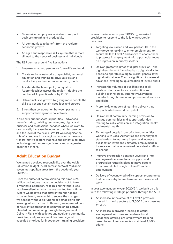- <span id="page-10-0"></span>• More skilled employees available to support business growth and productivity
- All communities to benefit from the region's economic growth
- An agile and responsive skills system that is more aligned to the needs of business and individuals

The RSP centres around five key actions:

- 1. Prepare our young people for future life and work
- 2. Create regional networks of specialist, technical education and training to drive up skills and productivity and underpin economic growth
- 3. Accelerate the take-up of good quality Apprenticeships across the region – double the number of Apprenticeships by 2030
- 4. Deliver inclusive growth by giving more people the skills to get and sustain good jobs and careers
- 5. Strengthen collaboration between partners to support achieving more collectively

It also sets out our sectoral priorities – advanced manufacturing, building technologies, digital and business and professional services where we want to dramatically increase the number of skilled people and the level of their skills. Whilst we recognise the role of all sectors in our regional economy these are transformative sectors that have the potential to drive inclusive growth more significantly and at a greater pace than others.

## **Adult Education Budget**

We gained devolved responsibility over the Adult Education Budget (AEB) across the West Midlands' seven metropolitan areas from the academic year 2019/20.

From the outset of commissioning this circa £130 million budget, we made the decision not to take a 'year zero' approach, recognising that there was much excellent activity that we wanted to continue. Where we believed that different things needed to be achieved, we sought to secure the changes we needed without disrupting or destabilizing our learning infrastructure. To this end, we operated two concurrent approaches to commissioning activity – plan-led commissioning through the agreement of Delivery Plans with colleges and adult and community providers, and procurement tendered against specified priorities for independent training providers. In year one (academic year 2019/20), we asked providers to respond to the following strategic priorities:

- Targeting low-skilled and low-paid adults in the workforce, or looking to enter employment, to secure skills at Level 3 and above to enable them to progress in employment with a particular focus on progression in priority sectors
- Deliver greater volumes of digital provision the digital entitlement including basic digital skills for people to operate in a digital world; general level digital skills at level 2 and a significant increase at advanced level digital qualification at level 3 and 4
- Increase the volumes of qualifications at all levels in priority sectors – construction and building technologies, automotive/advanced manufacturing, business and professional services and digital
- More flexible models of learning delivery that supports adults in work to upskill
- Deliver adult community learning provision to engage communities and support priorities relating to skills, cohesion and integration, health and mental health
- Targeting of people in our priority communities, working with Local Authorities and other key local stakeholders, to maximise impact and increase qualification levels and ultimately employment in those areas that have remained persistently difficult to change
- Improve progression between Levels and into employment - ensure there is support and progression routes in place to move people from basic skills through to Level 2 and into employment
- Delivery of vacancy-led skills support programmes that deliver entry to employment for those out of work

In year two (academic year 2020/21), we built on this with the following strategic priorities through the AEB:

- An increase in the amount of Level 3 provision offered in priority sectors to 3,600 from a baseline of 1,500
- An increase in provision leading to actual employment with new sector-based work academies offering pre-employment training linked to employer vacancies to at least 4,500 adults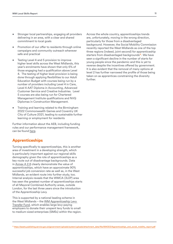- <span id="page-11-0"></span>• Stronger local partnerships, engaging all providers delivering in an area, with a clear and shared commitment to local goals
- Promotion of our offer to residents through online campaigns and community outreach wherever safe and practical
- Testing Level 4 and 5 provision to improve higher level skills across the West Midlands, this year's enrolments have shown that only 6% of those engaging had a qualification above Level 4. The testing of higher level provision is being done through applying flexibilities to our Adult Education Budget with courses being run by a number of providers including Level 4 in Care, Level 4 AAT Diploma in Accounting, Advanced Customer Service and Creative Industries. Level 5 courses are also being run for Chartered Management Institute qualifications and NVQ Diplomas in Construction Management.
- Training and learning related to the Birmingham 2022 Commonwealth Games and Coventry UK City of Culture 2021, leading to sustainable further learning or employment for residents

Further information about the AEB, including funding rules and our performance management framework, can be found [here.](https://www.wmca.org.uk/what-we-do/productivity-skills/adult-education-budget/)

## **Apprenticeships**

Turning specifically to apprenticeships, this is another area of investment in a developing strength, which is particularly important against our regional skills demography given the role of apprenticeships as a key route out of disadvantage backgrounds. Data in [Annex A 2.8](https://www.wmca.org.uk/media/4824/wm-local-skills-report_annex-a.pdf) clearly demonstrate the value of apprenticeships, which have an approximate 90% successful job conversion rate as well as, in the West Midlands, an evident route into further study, too. Internal analysis reveals that the WMCA (3LEP) area has seen the greatest number of apprenticeships starts of all Mayoral Combined Authority areas, outside London, for the last three years since the introduction of the Apprenticeship Levy.

This is supported by a national leading scheme in the West Midlands – the [WM Apprenticeship Levy](https://www.wmca.org.uk/what-we-do/productivity-skills/the-apprenticeship-levy-fund/)  [Transfer Fund,](https://www.wmca.org.uk/what-we-do/productivity-skills/the-apprenticeship-levy-fund/) which enables large levy-paying employers to donate their unspent levy funds to small to medium-sized enterprises (SMEs) within the region. Across the whole country, apprenticeships trends are, unfortunately, moving in the wrong direction, particularly for those from a disadvantaged background. However, the Social Mobility Commission recently reported the West Midlands as one of the top three regions (indeed, joint second) for apprenticeship starters from disadvantaged backgrounds<sup>12</sup>. We have seen a significant decline in the number of starts for young people since the pandemic and this is yet to reverse despite the incentives offered by government. It is also evident that the removal of many options at level 2 has further narrowed the profile of those being taken on as apprentices constraining the diversity further.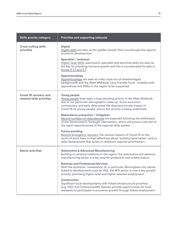| <b>Skills priority category</b>                           | Priorities and supporting rationale                                                                                                                                                                                                                                                                                                                                                                                                                                                                                                                                                                                                                                                                                                                                                                                |
|-----------------------------------------------------------|--------------------------------------------------------------------------------------------------------------------------------------------------------------------------------------------------------------------------------------------------------------------------------------------------------------------------------------------------------------------------------------------------------------------------------------------------------------------------------------------------------------------------------------------------------------------------------------------------------------------------------------------------------------------------------------------------------------------------------------------------------------------------------------------------------------------|
| <b>Cross-cutting skills</b><br>priorities                 | <b>Digital</b><br>Digital skills are seen as the 'golden thread' that runs through the region's<br>economic development.                                                                                                                                                                                                                                                                                                                                                                                                                                                                                                                                                                                                                                                                                           |
|                                                           | Specialist / technical<br>Higher-level skills, particularly specialist and technical skills are seen as<br>the key to unlocking inclusive growth and this is corroborated by data in<br>Annex A 2.1 and 2.7.                                                                                                                                                                                                                                                                                                                                                                                                                                                                                                                                                                                                       |
|                                                           | <b>Apprenticeships</b><br>Apprenticeships are seen as a key route out of disadvantaged<br>backgrounds and the West Midlands' Levy Transfer Fund - enables both<br>apprentices and SMEs in the region to be supported.                                                                                                                                                                                                                                                                                                                                                                                                                                                                                                                                                                                              |
| <b>Covid-19 recovery and</b><br>renewal skills priorities | Young people<br>Young people have been a long-standing priority in the West Midlands<br>due to our particular demographic make-up. Socio-economic<br>commentary and early data reveal the disproportionate impact of<br>Covid-19 on young people, and so this priority is being underlined.<br><b>Redundancy prevention / mitigation</b><br>Record numbers of redundancies are expected following the withdrawal<br>of the Government's 'furlough' intervention, which will prove a real test of<br>the rapid responsiveness of the regional skills system.<br><b>Future-proofing</b><br>Beyond emergency recovery, the various impacts of Covid-19 on the<br>world of work have invited reflections about 'building back better', and so<br>skills development that builds in resilience requires prioritisation. |
| <b>Sector priorities</b>                                  | <b>Automotive &amp; Advanced Manufacturing</b><br>Building on existing traditions in the region, the automotive and advance<br>manufacturing sector is a key area for protection and modernisation.<br><b>Business and Professional Services</b><br>With the economic 'renaissance' of, in particular, Birmingham city centre,<br>linked to developments such as HS2, the BPS sector is now a key growth<br>priority, promising higher-level and higher-salaried employment.<br><b>Construction</b><br>Significant local developments with linked infrastructural priorities<br>(e.g. HS2, the Commonwealth Games) provide opportunities for local<br>residents to participate in economic growth through linked employment.                                                                                       |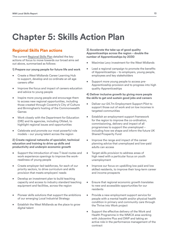## **Chapter 5: Skills Action Plan**

## **Regional Skills Plan actions**

The current [Regional Skills Plan](https://www.wmca.org.uk/news/skills-plan-launched-to-build-workforce-fit-for-the-future/) detailed the key actions of focus to move towards our broad aims set out above, summarised as follows:

**1) Prepare our young people for future life and work**

- Create a West Midlands Career Learning Hub to support, develop and co-ordinate an all age careers offer
- Improve the focus and impact of careers education and advice to young people
- Inspire more young people and encourage them to access new regional opportunities, including those created through Coventry's City of Culture and Birmingham's hosting of the Commonwealth Games
- Work closely with the Department for Education (DfE) and its agencies, including Ofsted, to highlight regional issues and opportunities
- Celebrate and promote our most powerful role models – our young talent across the region

#### **2) Create regional networks of specialist, technical education and training to drive up skills and productivity and underpin economic growth**

- Support the introduction of new T-level routes and work experience openings to improve the workreadiness of young people
- Create employer-led taskforces, for each of our priority sectors, to drive curriculum and skills provision that meets employers' needs
- Develop an investment plan to build teaching capacity and access to industry standard teaching equipment and facilities, across the region
- Pioneer skills solutions that support the ambitions of our emerging Local Industrial Strategy
- Establish the West Midlands as the place to grow digital talent

**3) Accelerate the take-up of good quality Apprenticeships across the region – double the number of Apprenticeships by 2030** 

- Maximise Levy investment for the West Midlands
- Lead a regional campaign to promote the benefits of Apprenticeships – to employers, young people, employees and key stakeholders
- Support more young people to access pre-Apprenticeship provision and to progress into high quality Apprenticeships

#### **4) Deliver inclusive growth by giving more people the skills to get and sustain good jobs and careers**

- Deliver our £4.7m Employment Support Pilot to support those out of work and on low incomes in targeted communities
- Establish an employment support framework for the region to improve the co-ordination, commissioning, delivery and impact of all programmes to support the unemployed – including how we shape and inform the future UK Shared Prosperity Fund
- Improve the range and impact of the career planning advice that unemployed and low-paid adults can access
- Target skills provision to address areas of high need with a particular focus on youth unemployment
- Improve our focus on upskilling low paid and low skilled residents, to improve their long-term career and income prospects
- Ensure that regional economic growth translates to new and accessible opportunities for our residents
- Provide a new employment support service for people with a mental health and/or physical health condition in primary and community care through the Thrive into Work project
- Support the effective delivery of the Work and Health Programme in the WMCA area working with Jobcentre Plus and DWP and taking an active role in the performance management of the contract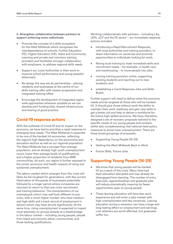#### <span id="page-14-0"></span>**5. Strengthen collaboration between partners to support achieving more collectively**

- Promote the concept of a skills ecosystem for the West Midlands which recognises the interdependence of schools, Further Education (FE), Higher Education (HE), Adult and Community Learning and private and voluntary training providers and facilitates stronger collaboration with employers, to address regional skills needs
- Support our Local Authorities in their work to improve school performance and young people's attainment
- Re-design the way we do partnerships placing residents and businesses at the centre of our skills training offer with clearer progression and integrated training offers
- Encourage the development of integrated region wide approaches wherever possible so we can develop joint funding bids, shared infrastructure and sharing of good practice

## **Covid-19 response actions**

With the outbreak of Covid-19 and its impact on the economy, we have had to prioritise a rapid response to emerging local needs. The West Midlands is expected to be one of the hardest hit economies, reflecting the region's high dependency on the automotive and education sectors as well as our regional population. The West Midlands has a younger than average population, and an already high youth unemployment count, lower than average levels of qualifications, and a higher proportion of residents from BME communities. As such, our region is further exposed to the social, economic and health impacts of rising and sustained unemployment.

The labour market which emerges from this crisis will likely be the toughest for generations, with the current hibernation of thousands of businesses potentially followed by a longer period where companies are reluctant to return to their pre-crisis recruitment and training behaviour. The characteristics of our unemployed cohort may well look different to precrisis, with a much higher number who have mediumand high-skills and a track record of employment in sectors which may have shrunk significantly. At the same time, rising unemployment is expected to impact most adversely on groups already at a disadvantage in the labour market – including young people, people from black and minority ethnic communities, and those lacking qualifications.

Working collaboratively with partners – including LAs, LEPs, JCP and the FE sector – our immediate response actions included:

- introducing a Rapid Recruitment Response, with local authorities and training providers, to share information on vacancies and promote opportunities to individuals looking for work;
- flexing local training to meet immediate skills and recruitment needs – for example, in health care and warehousing – to move people into jobs;
- moving training provision online, supporting existing students and reaching out to new students; and
- establishing a Covid Response Jobs and Skills Board.

Further support will need to deliver what the economy needs and be targeted at those who will be hardest hit. It should give those without work the ability to maintain their work readiness and gain new skills to get a better job and help to deliver a workforce for the future high-skilled economy. We have, therefore, designed a set of recovery proposals tailored to the specific needs of our young people and workers, whilst also complementing vital national-level policy measures to avoid mass unemployment. There are three broad groupings of proposals:

- Supporting Young People (16-29)
- Getting the West Midlands Back to Work
- Future Skills, Future Jobs

## **Supporting Young People (16-29)**

- We know that young people will be hardest hit as a result of the crisis. Many have had their education disrupted and may already be disengaged from learning. The number of entry level jobs, apprenticeships and graduate jobs will reduce dramatically meaning far fewer opportunities open to young people.
- Those leaving education will have less work experience and will enter a jobs market with high unemployment and few vacancies. Leaving education during a recession can have a large and long-lasting effect on employment and earnings. Low attainers are worst affected, but graduates suffer too.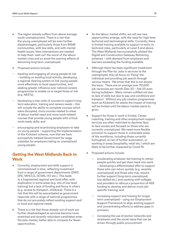- The region already suffers from above average youth unemployment. There is a risk that the young unemployed will be even further disadvantaged, particularly those from BAME communities, with low skills, and with mental health issues. New interventions are needed to help them 'wait out' the worst of the labour market crisis and so avoid the scarring effects of becoming long-term unemployed.
- Proposed actions include:
- tracking and engaging all young people at risk – building on existing local activity, developing a regional clearing system to link young people more effectively to local opportunities, and seeking greater influence over national careers programmes to enable us to target those at risk (e.g. NEETs);
- developing a new suite of courses to support longterm education, training and careers needs – this will include the ability to complete courses which were disrupted, more courses related to areas of labour market need and more work-related courses that provide young people with critical work-ready skills; and
- encouraging and incentivising employers to take on young people – supporting the implementation of the Kickstart scheme, now that we have successfully lobbied Government for wage subsidies for employers taking on unemployed young people.

## **Getting the West Midlands Back to Work**

- Currently, employment and skills support is commissioned in silos, reflecting investment from a range of government departments (DWP, DFE, MHCLG, DCMS, HO etc.). This leads to a fragmented regional and local offer, with duplication in some areas (e.g. lots of low-level training) but a lack of funding and focus in others (e.g. access to transport, childcare). There is a risk that this will be exacerbated as government responds with a range of national programmes that do not accurately reflect existing support and/ or local and regional needs.
- There is a risk that those already out of work are further disadvantaged as services become more stretched and recently redundant candidates enter the jobs market, better able to compete for fewer opportunities.
- As the labour market shifts, we will see new opportunities emerge, with the need for high level technical and technological skills. Currently, there is limited training available to support re-entry to technical roles, particularly at Level 3 and above. The West Midlands has successfully piloted the Digital and Construction Gateway Retraining schemes – with demand from employers and learners exceeding the funding available.
- Although there has been significant investment through the Plan for Jobs in services to the unemployed, they all focus on 'fixing' the individual and providing job search through various means. We know that this is not always the issue. There are on average over 110,000 job vacancies per month (Dec 20 – Feb 21) even during lockdown. Many remain unfilled not due to lack of skills but due to pay and conditions and transport. Without any job creation programmes (such as Kickstart) for adults the impact of training will be limited until the labour market starts to grow.
- Support for those in work is limited. Career coaching, training and other employment support services are often restricted to daytime, face to face access and focused on those who are currently unemployed. We need more flexible provision to support those in vulnerable areas of the workforce, including those currently furloughed, at risk of further automation, or working in areas (hospitality, retail etc.) which are likely to be further impacted by Covid-19.
- Proposed actions include:
	- accelerating employer-led training to retrain people quickly and get them back into work – developing a differentiated offer to support those who can return quickly (e.g. recently unemployed) and those who may require further support (long-term unemployed, low-skilled etc.) and working with colleges and providers to refocus a proportion of AEB funding to develop and deliver more jobspecific training; and
	- increasing support and training for longer term unemployed – using our Employment Support Framework to align existing support and concentrating efforts to address gaps in provision
	- increasing the use of anchor networks and employers and the social value that can be driven through public procurement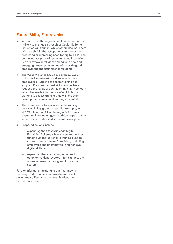## **Future Skills, Future Jobs**

- We know that the region's employment structure is likely to change as a result of Covid-19. Some industries will flourish, whilst others decline. There will be a shift in the occupational mix, with many predicting an increasing need for digital skills. The continued adoption of technology and increasing use of artificial intelligence along with new and emerging green technologies will provide good employment opportunities for residents.
- The West Midlands has above average levels of low-skilled low-paid workers – with many employees struggling to access training and support. Previous national skills policies have reduced the levels of adult learning ('night school') which has made it harder for West Midlands workers to access training that will help them develop their careers and earnings potential.
- There has been a lack of accessible training provision in key growth areas. For example, in 2017/18, less than 1% of the region's AEB was spent on digital training, with critical gaps in cyber security, informatics and software development.
- 
- Proposed actions include: expanding the West Midlands Digital Retraining Scheme – having secured further funding via the National Retraining Fund to scale-up our 'bootcamp' provision, upskilling employees and unemployed in higher level digital skills; and
	- expanding these retraining schemes to other key regional sectors – for example, the advanced manufacturing and low carbon sectors.

Further information relating to our (fast-moving) recovery work – namely our investment case to government, 'Recharge the West Midlands' – can be found [here](https://assets.publishing.service.gov.uk/media/600e975b8fa8f5654fcfed3f/West_Midlands_Economic_Recovery.pdf).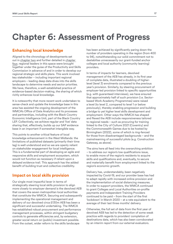## **Chapter 6: Assessment of Progress**

## **Enhancing local knowledge**

Aligned to the chronology of developments set out in [chapter two](#page-4-0) and further detailed in [chapter](#page-9-0)  [four](#page-9-0), regional leaders in this space were brought together under the guise of the Productivity and Skills Commission in advance of and in order to develop our regional strategic and skills plans. This work involved key stakeholder – including important regional employers – leading deep data dives into the skills landscape to determine needs and sector priorities. We have, therefore, a well-established practice of evidence-based decision-making, the sharing of which richly enhances local knowledge.

It is noteworthy that more recent work undertaken to sense-check and update the knowledge base in this area has assisted the ongoing development of the WMCA's Office of Data Analytics and its processes and partnerships, including with the Black Country Economic Intelligence Unit, part of the Black Country LEP. Collectively, we achieve regular and 'live' data sharing that, effectively, builds up our SAP evidence base in an important if somewhat intangible way.

This points to another critical feature of local knowledge enhancement in the West Midlands: the limitations of published datasets (primarily their time lag) is well understood and so we are openly reliant on stakeholder engagement for local intelligence. This is a fundamental part of developing an agile and responsive skills and employment ecosystem, which would not function as necessary if reliant upon a delayed evidence trail. This approach has the added benefit of building trust and collective credibility.

## **Impact on local skills provision**

Our single most impactful lever in terms of strategically steering local skills provision to align more closely to employer demand is the devolved AEB that covers the seven metropolitan local authorities that constitute the WMCA. Securing and subsequently implementing the operational management and delivery of our devolved circa £130m AEB has been a significant and successful undertaking. The WMCA has established robust procurement and performance management processes, within stringent budgetary controls to generate efficiencies and, by extension, greater social return on (public) investment possible. From the outset, wider reform to the skills landscape

has been achieved by significantly paring down the number of providers operating in the region (from 400 to 94), notwithstanding our solid commitment not to destabilise unnecessarily our grant-funded anchor colleges and local authority (community learning) providers.

In terms of impacts for learners, devolved management of the AEB has already, in its first year of complete data, illustrated a doubling of higherlevel (level 3) enrolments compared to the previous year's provision. Similarly, by steering procurement of employer-led provision linked to specific opportunities (e.g. with guaranteed interviews), we have ensured that approximately half of such provision (i.e. Sectorbased Work Academy Programmes) were raised a level (to level 2, compared to level 1 or below previously), thereby enabling progression and building a bridge to yet higher level skills development and employment. Other ways the WMCA has shaped and flexed the AEB include responsiveness tailored to regional needs – such as procuring for training linked to the City of Culture 2021 (Coventry) and the Commonwealth Games due to be hosted by Birmingham (2022), some of which is ring-fenced for those from disadvantaged backgrounds – and the mainstreaming of successful pilots (e.g. Construction Gateway, as above).

The aims here all feed into the overarching ambition – to address our region's low qualifications issue, to enable more of the region's residents to acquire skills and qualifications and, eventually, to secure and materially benefit from employment linked to the region's economic growth.

Delivery has, understandably, been negatively impacted by Covid-19, and our provider base has had to adapt rapidly with increased online provision and the implementation of social distancing measures. In order to support providers, the WMCA continued to grant Colleges and Local Authorities on-profile payments and Independent Training Providers continued to be paid – from the start of the first 'lockdown' in March 2020 – at a rate equivalent to the average of their last three months' delivery.

Otherwise, the full set of data from the first year of devolved AEB has led to the detection of some weak practice with regards to providers' completion of destinations data, which has also been corroborated by an interim report from our external evaluators.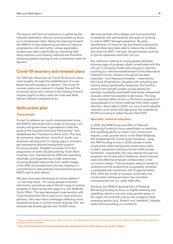The issue is with lack of experience in gathering the required destination data by some providers as focus is on achievement data. Taking this learning forward, the WMCA is now supporting providers to improve progressions into (and within, where applicable) employment data, specifically by improving their data collection and tracking methods and therefore achieving greater training-to-job conversation rates for learners.

### **Covid-19 recovery and renewal plans**

Our SAP has influenced our Covid-19 recovery plans, most tangibly through the establishment of a sub-Board focused squarely on delivery. The Covid-19 recovery plans are covered in chapter five and the structural points are covered in the 'looking forward' chapter (eight) as this is what the Jobs and Skills Delivery Board is designed to do.

## **Skills action plan**

#### **Young people**

To start to address our youth unemployment issue, the WMCA partnered with a range of business, civil society and government organisations under the guise of the 'Inclusive Economy Partnership'<sup>13</sup> and established the 'Transition to Work' pilot. This took an innovative, data-driven, 'local first' youth- and employer-led approach to closing gaps in provision and developing tailored employment support for young people. Tangible successes from this programme of work included piloting Youth Work Coaches, now championed by DWP and operating nationally, and engendering a wider awareness of young people's trajectories from earlier stages in the skills and employment journey, leading to a commitment to data-sharing improvements around NEETs (see further below).

We have since also developed an online platform<sup>14</sup> – a 'one stop shop' – for young people to access information and advice about the full range of options available to them across the region (i.e. the WMCA's Youth Offer). This was developed in partnership with Youth Employment UK as well as our local authority partners, who each have a webpage reflecting more localised services. In its first month of going 'live', the website had already gained over 10,000 views.

We have worked with colleges and local authorities to establish new partnerships and ways of working to reduce NEET through prevention. By early identification of those at risk and shared tracking the partnerships have been able to reduce the numbers that become NEET mid-year, the partnership working is ripe for expansion and fuller roll out.

Key indicators relating to young people had been showing signs of progress, albeit complicated with the roll-out of Universal Credit and changes to claimant counting (i.e. with the establishment of the Alternative Claimant Count), however this group has been massively – and disproportionately – impacted by the Covid-19 pandemic. Coupled with schooling and training being significantly hampered, the frontline sectors that typically employ young people (for example, hospitality and retail) have faced widespread closures, which has resulted in job losses. The longterm 'scarring' effect of this on the future prospects of young people is a critical challenge that needs urgent attention. Since March 2020, our out-of-work benefits claimant count within this age group has rocketed by 84.9% according to latest figures (Feb 2021).

#### **Specialist, technical education**

In 2018, the WMCA secured £5m of National Retraining Funding to focus specifically on reskilling and upskilling adults for roles in the construction industry, a key growth sector in the West Midlands. We established the 'Construction Gateway', using this NRS funding to train c.2000 people in basic construction skills training and construction skills in plant, equipment training and site traffic access facilitation. Importantly, this was steered through our employer-led Construction Taskforce, which ensured open and effective employer collaboration in the curriculum design. Training targets were hit ahead of schedule and the programme successfully achieved a sustainable job conversion rate of approximately 50%. With the 'proof of concept' confirmed, this construction training provision has now been mainstreamed into our wider AEB offer.

Similarly, the WMCA secured £5m of National Retraining Funding to focus on digital reskilling and upskilling, which is not only a key growth sector in the region but one that cuts across a range of other emerging sectors (e.g. 'fintech' and 'medtech'), thereby really future-proofing our workforce.

<sup>&</sup>lt;sup>13</sup> Partners included Accenture, Movement to Work, UnLtd, O2, Youth Employment UK, Prince's Trust, Big Lottery Fund, DWP and the WMCA with support from the Cabinet Office and DCMS.

<sup>14</sup> <https://www.youthemployment.org.uk/employment-help-young-people/youth-friendly-places-in-the-uk/west-midlands>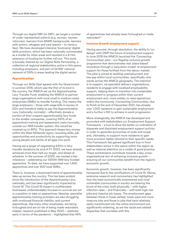Through our digital NRF (or DRF), we target a number of under-represented cohorts (e.g. women, women 'returners', learners from BAME backgrounds, learners with autism, refugees and care leavers – to name a few). We have developed intensive 'bootcamp' digital skills provision, which has been nationally commended as a model for other areas and resulted in a £1.5m extension of funding for further roll-out. This work is broadly steered by our Digital Skills Partnership, a collection of regional stakeholders active in this space, including employers, and part of DCMS' national network of DSPs in areas leading the digital sector.

#### **Apprenticeships**

Through our Skills Deal agreed with the Government in summer 2018, which was the first of its kind in the country, the WMCA set up the Apprenticeship Levy Transfer Fund, enabling the WMCA to partner large organisations with local small to medium-sized enterprises (SMEs) to transfer funding. This means the large employers – those with wage bills in excess of £3m and therefore liable to pay the Apprenticeship Levy (nationally, normally) – effectively donate a portion of their unspent apprenticeship levy funds to the smaller companies, covering 100% of an apprentice's training and assessment costs (normally, outside our WM transfer system, this would be covered up to 95%). This approach keeps levy money within the West Midlands region, boosting skills, job opportunities and productivity by supporting more young people and adults of all ages into work.

Having set a target of negotiating £40m in levy transfer donations by end of FY 2023, we have already achieved more than half our target, and ahead of schedule. In the summer of 2020, we marked a key milestone – celebrating our 1000th WM levy-funded apprentice. To date, we have supported over 1,900 apprentices and over 600 local SMEs.

There is, however, a downward trend of apprenticeship take-up across the country. This has been evident since the introduction of the Apprenticeship Levy, nationally, and has been significantly impacted by Covid-19. This Covid-19 impact is multifaceted: businesses understandably focused on survival are not in a position to take on apprentices; likewise, specialist apprenticeship training providers are also struggling with continued financial viability; and current apprentices, like many other employees, are being furloughed and are at risk of being made redundant. Indeed, research published in May 2020 – relatively early in terms of the pandemic – highlighted that 44%

of apprentices had already been furloughed or made redundant15.

#### **Inclusive Growth (employment support)**

Having secured, through devolution, the ability to 'codesign' with DWP the future of employment support, in June 2018 the WMCA launched the 'Connecting Communities' pilot – our flagship inclusive growth programme that demonstrates real 'place-based' innovation through a 'saturation model' of employment support for those furthest from the labour market. The pilot is aimed at tackling unemployment and low pay within local communities, specifically nine wards across the WMCA geography. The intention is to support, via specialist delivery organisations, residents to engage with localised employability support, helping them to transition into sustainable employment or progress within their current employment and, more widely, to raise aspirations within the community. Connecting Communities, due to finish at the end of December 2021, has already over 1,000 residents to gain sustainable employment and a further c.150 to achieve in-work progression.

More strategically, the WMCA has developed and promoted with stakeholders our Employment Support Framework – a tool to drive the better co-ordination of disparate and disjointed employment support activity in order to generate economies of scale and scope and, ultimately, to support more residents to gain more provision better tailored to their specific needs. This Framework has gained significant buy-in from stakeholders active in this space within the region as well as national attention as a model of good practice. These workstreams contribute towards a key, crossorganisational aim of achieving inclusive growth – ensuring all our communities benefit from the region's economic growth.

Economic growth, however, has been significantly hampered due to the ramifications of Covid-19. Worse, extensive research and commentary has highlighted how the least economically empowered and most vulnerable communities in society are bearing the brunt of the crisis, both physically – with higher infection rates – and financially – with both high-risk jobs and massive job losses. The employment gaps between those in lower-skilled, lower-paid and more insecure jobs and those in jobs that have relatively easily transitioned into the online environment are significantly widening, as are the racial and related disparities that correlate with this.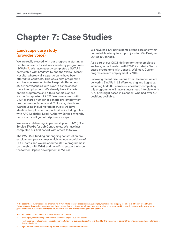## **Chapter 7: Case Studies**

## **Landscape case study (provider voice)**

We are really pleased with our progress in starting a number of sector-based work academy programmes (SWAPs)16. We have recently completed a SWAP in partnership with DWP/WHG and the Walsall Manor Hospital whereby all six participants have been offered full contracts. This was a pilot programme and has now resulted in the Hospital offering up 40 further vacancies with SWAPs as the chosen route to employment. We already have 21 starts on this programme and a third cohort planned for the first quarter of 2021. We have agreed with DWP to start a number of generic pre-employment programmes in Schools and Childcare, Health and Warehousing including forklift trucks. All have identified employment opportunities including roles with APC Logistics, Local Authority Schools whereby participants will go onto Apprenticeships.

We are also delivering, in partnership with DWP, Civil Service SWAPs for Job Centre roles. We have just completed our first cohort with others to follow.

The WMCA is funding our ongoing construction preemployment programmes which include acquisition of CSCS cards and we are about to start a programme in partnership with WHG and Lovell's to support jobs on the former Caparo development in Walsall.

We have had 108 participants attend sessions within our Retail Academy to support jobs for MG Designer Outlet in Cannock.

As a part of our CSCS delivery for the unemployed we have, in partnership with DWP, included a Sector based programme with Jones & Wollman. Current progression into employment is 78%.

Following recent discussions from December we are delivering SWAPs in L2 Warehousing and Logistics, including Forklift. Learners successfully completing this programme will have a guaranteed interview with APC Overnight based in Cannock, who had over 40 positions available.

<sup>16</sup> The sector-based work academy programme (SWAP) help prepare those receiving unemployment benefits to apply for jobs in a different area of work. Placements are designed to help meet employers immediate and future recruitment needs as well as to recruit a workforce with the right skills to sustain and grow businesses. SWAP is administered by Jobcentre Plus and available in England and Scotland.

A SWAP can last up to 6 weeks and have 3 main components:

- pre-employment training matched to the needs of your business sector
- work experience placement a great opportunity for your business to identify talent and for the individual to cement their knowledge and understanding of the required role
- a guaranteed job interview or help with an employer's recruitment process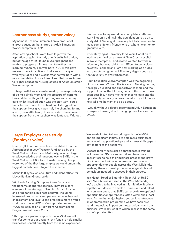## **Learner case study (learner voice)**

My name is Kashina Summan. I am a product of a great education that started at Adult Education Wolverhampton in 2012.

After leaving school I went to college with the aspiration of going to study at university in London, but at the age of 19 I found myself pregnant and unable to progress with my plan to further my learning. When my son was born in 2012 this gave me even more incentive to find a way to carry on with my studies and 6 weeks after he was born with a recommendation from a friend I enrolled on an Access to Higher Education Nursing course at Adult Education Wolverhampton.

To begin with I was overwhelmed by the responsibility of being a single mum and the pressure of learning. I was riddled with guilt for putting my son into day care whilst I studied but it was the only way I could find a better future. It was hard and I struggled but the support I was given was truly life changing for me and my new little family. They provided childcare and the support from the teachers was fantastic. Without

this our lives today would be a completely different story. Not only did I gain the qualification to go on to study Adult Nursing at university but I also went on to make some lifelong friends, one of whom I went on to graduate with.

After studying at University for 3 years I went on to work as a critical care nurse at New Cross Hospital in Wolverhampton. I had always wanted to work in midwifery but was told it was difficult to get a place; however, I applied and I am now working as a nurse and also studying on the Midwifery degree course at the University of Wolverhampton.

Adult Education Wolverhampton was the beginning of my success. Without the Access to Nursing course, the highly qualified and supportive teachers and the support I had with childcare, none of this would have been possible. It gave me the chance to learn and the opportunity to be a good role model to my child, who now tells me he wants to be a doctor.

I would, without a doubt, recommend Adult Education to anyone thinking about changing their lives for the better.

## **Large Employer case study (Employer voice)**

Nearly 2,000 apprentices have benefited from the Apprenticeship Levy Transfer Fund set up by the West Midlands Combined Authority, in which large employers pledge their unspent levy to SMEs in the West Midlands. HSBC and Lloyds Banking Group were two of the first large employers – and among the biggest contributors – to join the scheme.

Michelle Blayney, chief culture and talent officer for Lloyds Banking Group, said:

"At Lloyds Banking Group we know first-hand the benefits of apprenticeships. They are a core element of our strategy of Helping Britain Prosper and bring tangible business benefits, including: increased productivity and performance; enhanced engagement and loyalty; and creating a more diverse workforce. Since 2012, we've supported more than 7,000 colleagues on 34 different Apprenticeship Programmes at Levels 2 to 7.

"Through our partnership with the WMCA we will transfer some of our unspent levy funds to help smaller businesses benefit directly from the same experience.

We are delighted to be working with the WMCA on this important initiative to help more businesses engage with apprenticeships and address skills gaps in key sectors of the economy.

"Access to fully-subsidised apprenticeship training will mean that SMEs can recruit and train more apprentices to help their business prosper and grow. Our investment will open up new apprenticeship opportunities for people across the West Midlands, enabling them to develop the knowledge, skills and behaviours needed to succeed in their careers."

Iain Heath, Head of Emerging Talent UK at HSBC, said: "As a business based in the West Midlands, we're excited to be involved in this initiative. It brings together our desire to develop future skills and talent with an awareness that SMEs can provide exceptional opportunities for apprentices, often within their local area. As the first major high street bank to introduce an apprenticeship programme we have seen firsthand the positive impact on the participants and our business. We really want to widen access to the same sort of opportunities.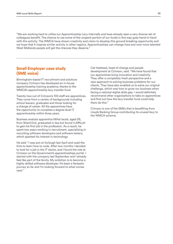"We are working hard to utilise our Apprenticeship Levy internally and have already seen a very diverse set of colleagues benefit. The chance to use some of the unspent portion of our funds in this way goes hand-in-hand with this activity. The WMCA have shown creativity and vision to develop this ground-breaking opportunity and we hope that it inspires similar activity in other regions. Apprenticeships can change lives and now more talented West Midlands people will get the chances they deserve."

## **Small Employer case study (SME voice)**

Birmingham-based IT recruitment and solutions company Crimson has developed an in-house apprenticeship training academy, thanks to the WMCA's apprenticeship levy transfer fund.

Twenty-two out of Crimson's 100 staff are apprentices. They come from a variety of backgrounds including school leavers, graduates and those looking for a change of career. All the apprentices have the opportunity to complete a degree level IT apprenticeship within three years.

Business analysis apprentice Mihai Iacob, aged 26, from Shard End, graduated in law but found it difficult to gain his first job in the profession. As a result, he spent two years working in recruitment, specialising in recruiting software developers and software testers, which sparked his interest in technology.

He said: "I was put on furlough last April and used the time to learn how to code. After two months I decided to look for a job in the IT sector, and I found the role at Crimson on the Government's apprenticeships portal. I started with the company last September and I already feel like part of the family. My ambition is to become a highly skilled software developer. It's been a fantastic journey so far and I'm looking forward to what comes next."

Cat Halstead, head of change and people development at Crimson, said: "We have found that our apprentices bring innovation and creativity. They offer a completely fresh perspective and a new approach to solving business problems for our clients. They have also enabled us to solve our original challenge, which was how to grow our business when facing a national digital skills gap. I would definitely recommend other organisations to take on apprentices and find out how the levy transfer fund could help them do this."

Crimson is one of the SMEs that is benefiting from Lloyds Banking Group contributing its unused levy to the WMCA scheme.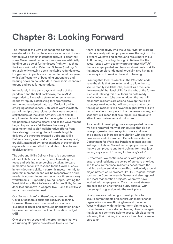## **Chapter 8: Looking Forward**

The impact of the Covid-19 pandemic cannot be overstated. On top of the enormous economic losses that followed almost instantaneously, it is clear that some Government response measures are artificially holding up a tide of further losses (rightly) – such as the Coronavirus Job Retention Scheme ('furlough') arguably only slowing down inevitable redundancies. Longer-term impacts are expected to be felt for years, with significant risk of becoming entrenched and bearing down on households in lower socio-economic groups and areas for generations.

Immediately in the early days and weeks of the pandemic and the first 'lockdown', the WMCA responded to increasing stakeholder engagement needs by rapidly establishing fora appropriate for the unprecedented nature of Covid-19 and its emerging consequences. Job losses were inevitably part of multiple discussions, as they were amongst stakeholders of the Skills Advisory Board and its employer-led taskforces. As the long-term reality of the pandemic became clearer and as the Government began to promote a 'skills-based recovery', it became critical to shift collaborative efforts from their strategic planning phase towards tangible delivery. We therefore created a Jobs and Skills Delivery Board, specifically focused on delivery and, crucially, attended by representatives of stakeholder organisations committed to and able to take forward decisive actions.

The Jobs and Skills Delivery Board is a sub-group of the Skills Advisory Board, complementing its focus and existing membership by taking forward immediate actions to respond to the Covid-19 crisis in terms jobs and skills. It currently meets monthly to maintain momentum and will be responsive to future needs. Its current focus centres on our three recovery workstreams – Supporting Young People, Getting the West Midlands Back to Work and Future Skills, Future Jobs (set out above in Chapter five) – and this will also remain responsive to need.

Our 'Forward Look' is, therefore, focused on the Covid-19 economic crisis and recovery planning. However, there is also continued focus on our 'business as usual' and continued prioritisation of our key lever for delivery – the Adult Education Budget (AEB).

One of the key aspects of the programmes that we are running alongside providers is to ensure that

there is connectivity into the Labour Market working collaboratively with employers across the region. This is where we have and continue to focus more of our AEB funding, including through initiatives like the sector-based work academy programmes (SWAPs) that are employer-led and train local residents in skills that meet employer demand, crucially, also having a routeway into to work at the end of training.

Ensuring that local residents in the West Midlands have the skills that are in demand to allow them to secure readily available jobs, as well as a focus on developing higher level skills for the jobs of the future, is crucial. Having this dual focus on both ready available jobs and jobs coming down the line, will mean that residents are able to develop their skills to access work now, but will also mean that across the region residents will have the higher level skills to firstly be able to compete in the modern economy, and secondly, will mean that as a region, we are able to attract new businesses and industries.

As a result of developing more employer-led courses, we have removed many of our courses that do not have progression/routeways into work and have and continue to increase consultation with regional businesses and Government Departments like the Department for Work and Pensions to map existing skills gaps, Labour Market and employer demand so that we can procure and fund training for these jobs, ending any cycle of 'training for training's sake'.

Furthermore, we continue to work with partners to ensure local residents are aware of our core priorities and to ensure that local residents benefit from the training and potential jobs on offer, particularly around major infrastructure projects like HS2, regional events such as the Commonwealth Games and also regional and local regeneration projects, where we have worked with employers on Construction Gateway projects and on-site training hubs, again all with routeways/progression into the work place.

Finally, we are continuing to develop plans to secure commitments of jobs through major anchor organisations across Birmingham and the wider West Midlands, with the longer term aim to secure commitments on workforce planning, to ensure again that local residents are able to access job placements following their training in areas such as Healthcare in particular.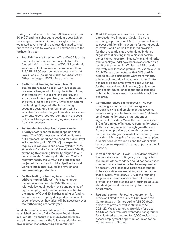During our first year of devolved AEB (academic year 2019/20) and the subsequent academic year (which we are approximately mid-way through currently), we tested several funding changes designed to meet our core aims; the following will be extended into the forthcoming year:

- **• Real living wage threshold** The WMCA is using the real living wage as the threshold for fully funded training, which for the 2021/22 academic year means that any resident earning less than £18,278 (£9.50 per hour) can access courses at levels 1 and 2, including English for Speakers of Other Languages (ESOL), free of charge.
- **• Partial or full funding for select level 3 qualifications leading to in-work progression or career changes** – Following the initial piloting of this flexibility in year one and subsequent expansion of this in year two, both with indications of positive impact, the WMCA will again extend this funding change into the forthcoming academic year. Partial or full funding will be available for a select range of qualifications linked to priority growth sectors identified in the Local Industrial Strategy and emerging needs linked to Covid-19 recovery.
- **• Full funding for select level 4 provision in priority sectors and/or to meet specific skills gaps** – The DfE's most recent Working Futures skills forecast underlines the need for higher-level skills provision, with 55.2% of jobs expected to require skills at level 4 and above by 2027 (39% at levels 4-6 and a further 16.2% at levels 7-8). By extending this funding flexibility, aligned to our Local Industrial Strategy priorities and Covid-19 recovery needs, the WMCA can start to meet projected demand and build a pipeline for local workers into higher-level skills provision and employment opportunities.
- **• Further testing of funding incentives that address market failures** – Persistent labour market failures across the WMCA area, i.e. relatively low qualification levels and patches of high unemployment, are being exacerbated by the impact of Covid-19. Further testing of funding incentives, some rapidly designed in response to specific issues as they arise, will be necessary over the forthcoming academic year.

In addition, and in consultation with the newly established Jobs and Skills Delivery Board where appropriate – to ensure maximum responsiveness and alignment to need – the following priorities are proposed for the forthcoming academic year:

- **• Covid-19 response measures** Given the unprecedented impact of Covid-19 on the economy, a proportion of AEB provision will need to cover additional in-year starts for young people at levels 2 and 3 as well as tailored provision for those recently made redundant. Evidence suggests that existing inequalities for certain cohorts (e.g. those from black, Asian and minority ethnic backgrounds) have been exacerbated as a result of the pandemic. Whilst the AEB provides relatively well for these groups – for example, AEB 2019/20 data demonstrates that 61% of AEBfunded course participants were from minority ethnic backgrounds – innovations that mitigate against skills and employment gaps widening for the most vulnerable in society (e.g. learners with special educational needs and disabilities – SEND cohorts) as a result of Covid-19 should be explored.
- **• Community-based skills recovery** As part of our ongoing efforts to build an agile and responsive skills and employment ecosystem, we are aiming to effectively 'seed-fund' relatively small community-based organisations as significant providers. We will commission up to £10m for a range of innovative community-based skills provision, secured through growth cases from existing providers and mini-procurement competitions to grant awards to community-based providers. Mutual gains for learners, the recipient organisations, communities and the wider skills landscape are expected in terms of post-pandemic recovery.
- **• In-year flexibilities** Covid-19 has demonstrated the importance of contingency planning. Whilst the impact of the pandemic could not be foreseen, greater financial resilience has been exposed as a necessity. As a collective response, intended to be supportive, we are setting an expectation that providers will reserve 10% of their funding for greater in-year flexibility. We will work with providers to normalise this as a 'business as usual' standard (where it is not already) for this and future years.
- **• Regional events** Following procurement for provision linked to the City of Culture and the Commonwealth Games during AEB 2019/20, delivery of provision will continue into AEB 2021/22. We are targeting provision for up to 4,000 learners from disadvantaged backgrounds for volunteering roles and for 3,000 residents to access employment opportunities linked to the Commonwealth Games.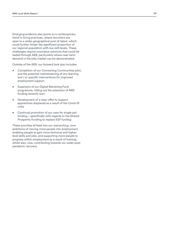Emerging evidence also points to a contemporary trend in hiring practices, where recruiters are open to a wider geographical pool of talent, which could further hinder the significant proportion of our regional population with low skill levels. These challenges require innovative solutions that could be tested through AEB, particularly where near-term demand in the jobs market can be demonstrated.

Outside of the AEB, our forward look also includes: • Completion of our Connecting Communities pilot,

- and the potential mainstreaming of any learning and / or specific interventions for improved employment support
- Expansion of our Digital Retraining Fund programme, rolling out the extension of NRS funding recently won
- Development of a clear offer to support apprentices displaced as a result of the Covid-19 crisis
- Continual promotion of our case for single-pot funding – specifically with regards to the Shared Prosperity Funding to replace ESF funding

These priorities all feed into our overarching, core ambitions of moving more people into employment, enabling people to gain more technical and higherlevel skills and jobs, and supporting more people to progress within employment as a result of training, whilst also, now, contributing towards our wider postpandemic recovery.